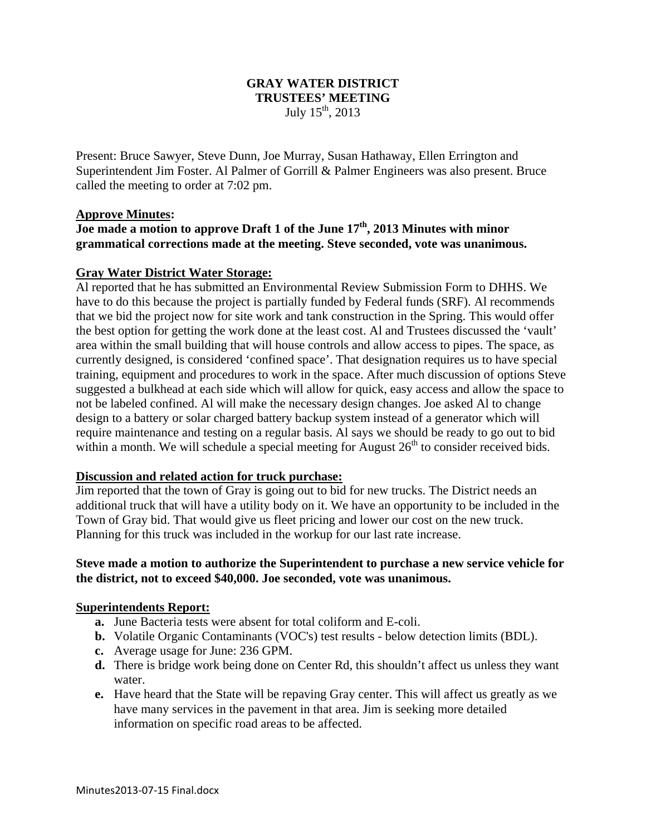## **GRAY WATER DISTRICT TRUSTEES' MEETING**  July  $15^{th}$ , 2013

Present: Bruce Sawyer, Steve Dunn, Joe Murray, Susan Hathaway, Ellen Errington and Superintendent Jim Foster. Al Palmer of Gorrill & Palmer Engineers was also present. Bruce called the meeting to order at 7:02 pm.

## **Approve Minutes:**

## **Joe made a motion to approve Draft 1 of the June 17th, 2013 Minutes with minor grammatical corrections made at the meeting. Steve seconded, vote was unanimous.**

## **Gray Water District Water Storage:**

Al reported that he has submitted an Environmental Review Submission Form to DHHS. We have to do this because the project is partially funded by Federal funds (SRF). Al recommends that we bid the project now for site work and tank construction in the Spring. This would offer the best option for getting the work done at the least cost. Al and Trustees discussed the 'vault' area within the small building that will house controls and allow access to pipes. The space, as currently designed, is considered 'confined space'. That designation requires us to have special training, equipment and procedures to work in the space. After much discussion of options Steve suggested a bulkhead at each side which will allow for quick, easy access and allow the space to not be labeled confined. Al will make the necessary design changes. Joe asked Al to change design to a battery or solar charged battery backup system instead of a generator which will require maintenance and testing on a regular basis. Al says we should be ready to go out to bid within a month. We will schedule a special meeting for August  $26<sup>th</sup>$  to consider received bids.

#### **Discussion and related action for truck purchase:**

Jim reported that the town of Gray is going out to bid for new trucks. The District needs an additional truck that will have a utility body on it. We have an opportunity to be included in the Town of Gray bid. That would give us fleet pricing and lower our cost on the new truck. Planning for this truck was included in the workup for our last rate increase.

## **Steve made a motion to authorize the Superintendent to purchase a new service vehicle for the district, not to exceed \$40,000. Joe seconded, vote was unanimous.**

## **Superintendents Report:**

- **a.** June Bacteria tests were absent for total coliform and E-coli.
- **b.** Volatile Organic Contaminants (VOC's) test results below detection limits (BDL).
- **c.** Average usage for June: 236 GPM.
- **d.** There is bridge work being done on Center Rd, this shouldn't affect us unless they want water.
- **e.** Have heard that the State will be repaving Gray center. This will affect us greatly as we have many services in the pavement in that area. Jim is seeking more detailed information on specific road areas to be affected.